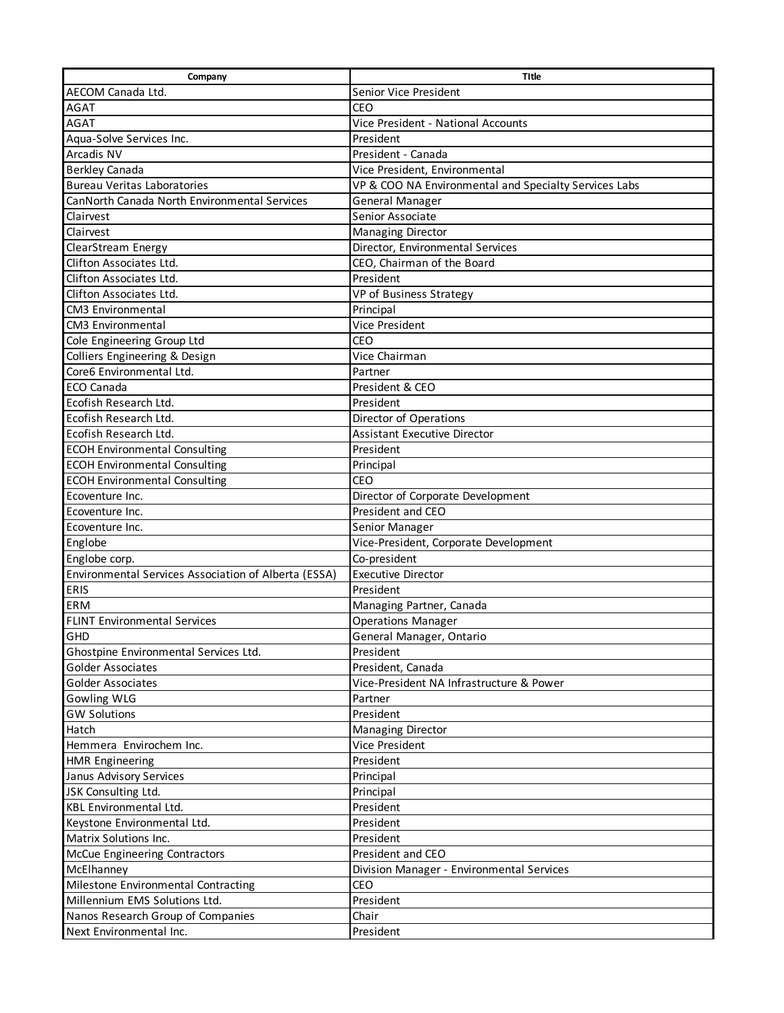| Company                                              | Title                                                 |
|------------------------------------------------------|-------------------------------------------------------|
| AECOM Canada Ltd.                                    | Senior Vice President                                 |
| <b>AGAT</b>                                          | CEO                                                   |
| <b>AGAT</b>                                          | Vice President - National Accounts                    |
| Aqua-Solve Services Inc.                             | President                                             |
| Arcadis NV                                           | President - Canada                                    |
| <b>Berkley Canada</b>                                | Vice President, Environmental                         |
| <b>Bureau Veritas Laboratories</b>                   | VP & COO NA Environmental and Specialty Services Labs |
| CanNorth Canada North Environmental Services         | General Manager                                       |
| Clairvest                                            | Senior Associate                                      |
| Clairvest                                            | Managing Director                                     |
| ClearStream Energy                                   | Director, Environmental Services                      |
| Clifton Associates Ltd.                              | CEO, Chairman of the Board                            |
| Clifton Associates Ltd.                              | President                                             |
| Clifton Associates Ltd.                              | VP of Business Strategy                               |
| <b>CM3 Environmental</b>                             | Principal                                             |
| CM3 Environmental                                    | Vice President                                        |
| Cole Engineering Group Ltd                           | <b>CEO</b>                                            |
| Colliers Engineering & Design                        | Vice Chairman                                         |
| Core6 Environmental Ltd.                             | Partner                                               |
| ECO Canada                                           | President & CEO                                       |
| Ecofish Research Ltd.                                | President                                             |
| Ecofish Research Ltd.                                | Director of Operations                                |
| Ecofish Research Ltd.                                | <b>Assistant Executive Director</b>                   |
| <b>ECOH Environmental Consulting</b>                 | President                                             |
| <b>ECOH Environmental Consulting</b>                 | Principal                                             |
| <b>ECOH Environmental Consulting</b>                 | <b>CEO</b>                                            |
| Ecoventure Inc.                                      | Director of Corporate Development                     |
| Ecoventure Inc.                                      | President and CEO                                     |
| Ecoventure Inc.                                      | Senior Manager                                        |
| Englobe                                              | Vice-President, Corporate Development                 |
| Englobe corp.                                        | Co-president                                          |
| Environmental Services Association of Alberta (ESSA) | <b>Executive Director</b>                             |
| <b>ERIS</b>                                          | President                                             |
| <b>ERM</b>                                           | Managing Partner, Canada                              |
| <b>FLINT Environmental Services</b>                  | <b>Operations Manager</b>                             |
| GHD                                                  | General Manager, Ontario                              |
| Ghostpine Environmental Services Ltd.                | President                                             |
| <b>Golder Associates</b>                             | President, Canada                                     |
| Golder Associates                                    | Vice-President NA Infrastructure & Power              |
| Gowling WLG                                          | Partner                                               |
| <b>GW Solutions</b>                                  | President                                             |
| Hatch                                                | Managing Director                                     |
| Hemmera Envirochem Inc.                              | Vice President                                        |
| <b>HMR Engineering</b>                               | President                                             |
| Janus Advisory Services                              | Principal                                             |
| JSK Consulting Ltd.                                  | Principal                                             |
| <b>KBL Environmental Ltd.</b>                        | President                                             |
| Keystone Environmental Ltd.                          | President                                             |
| Matrix Solutions Inc.                                | President                                             |
| <b>McCue Engineering Contractors</b>                 | President and CEO                                     |
| McElhanney                                           | Division Manager - Environmental Services             |
| Milestone Environmental Contracting                  | <b>CEO</b>                                            |
| Millennium EMS Solutions Ltd.                        | President                                             |
| Nanos Research Group of Companies                    | Chair                                                 |
| Next Environmental Inc.                              | President                                             |